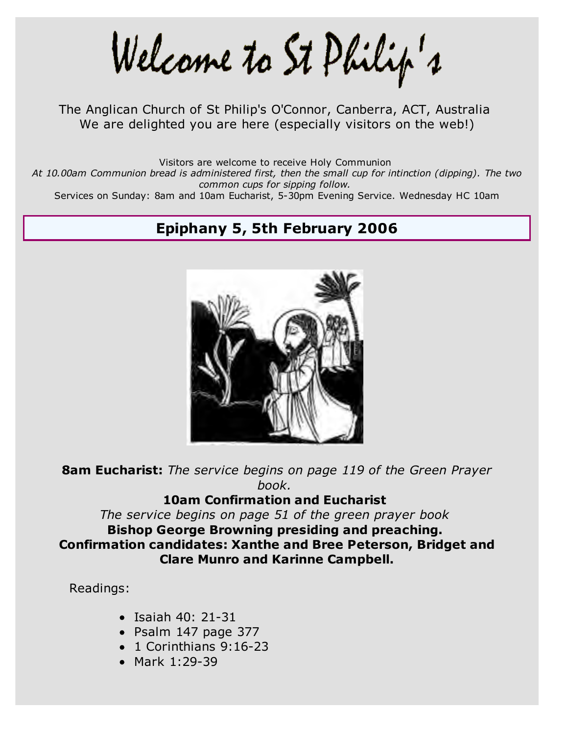Welcame to St Philip's

The Anglican Church of St Philip's O'Connor, Canberra, ACT, Australia We are delighted you are here (especially visitors on the web!)

Visitors are welcome to receive Holy Communion

*At 10.00am Communion bread is administered first, then the small cup for intinction (dipping). The two common cups for sipping follow.*

Services on Sunday: 8am and 10am Eucharist, 5-30pm Evening Service. Wednesday HC 10am

# **Epiphany 5, 5th February 2006**



**8am Eucharist:** *The service begins on page 119 of the Green Prayer book.*

#### **10am Confirmation and Eucharist**

*The service begins on page 51 of the green prayer book* **Bishop George Browning presiding and preaching. Confirmation candidates: Xanthe and Bree Peterson, Bridget and Clare Munro and Karinne Campbell.**

Readings:

- $\bullet$  Isaiah 40: 21-31
- Psalm 147 page 377
- $\bullet$  1 Corinthians 9:16-23
- Mark 1:29-39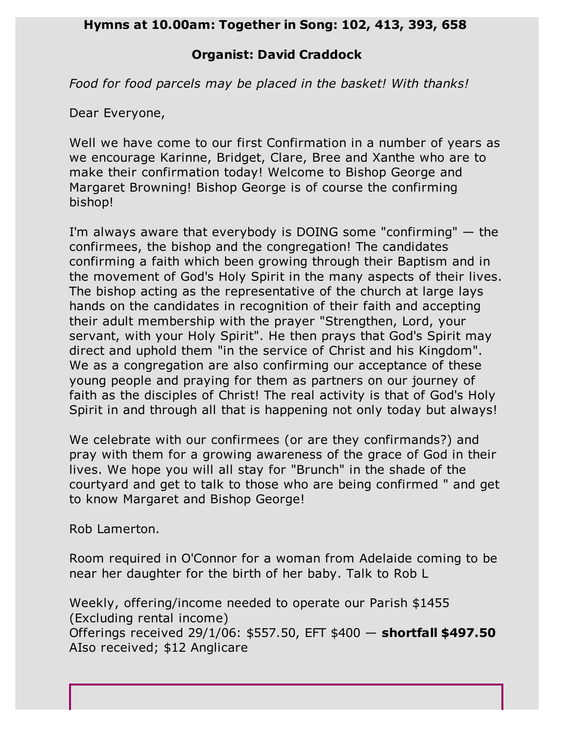#### **Hymns at 10.00am: Together in Song: 102, 413, 393, 658**

### **Organist: David Craddock**

*Food for food parcels may be placed in the basket! With thanks!*

Dear Everyone,

Well we have come to our first Confirmation in a number of years as we encourage Karinne, Bridget, Clare, Bree and Xanthe who are to make their confirmation today! Welcome to Bishop George and Margaret Browning! Bishop George is of course the confirming bishop!

I'm always aware that everybody is DOING some "confirming" — the confirmees, the bishop and the congregation! The candidates confirming a faith which been growing through their Baptism and in the movement of God's Holy Spirit in the many aspects of their lives. The bishop acting as the representative of the church at large lays hands on the candidates in recognition of their faith and accepting their adult membership with the prayer "Strengthen, Lord, your servant, with your Holy Spirit". He then prays that God's Spirit may direct and uphold them "in the service of Christ and his Kingdom". We as a congregation are also confirming our acceptance of these young people and praying for them as partners on our journey of faith as the disciples of Christ! The real activity is that of God's Holy Spirit in and through all that is happening not only today but always!

We celebrate with our confirmees (or are they confirmands?) and pray with them for a growing awareness of the grace of God in their lives. We hope you will all stay for "Brunch" in the shade of the courtyard and get to talk to those who are being confirmed " and get to know Margaret and Bishop George!

Rob Lamerton.

Room required in O'Connor for a woman from Adelaide coming to be near her daughter for the birth of her baby. Talk to Rob L

Weekly, offering/income needed to operate our Parish \$1455 (Excluding rental income) Offerings received 29/1/06: \$557.50, EFT \$400 — **shortfall \$497.50** AIso received; \$12 Anglicare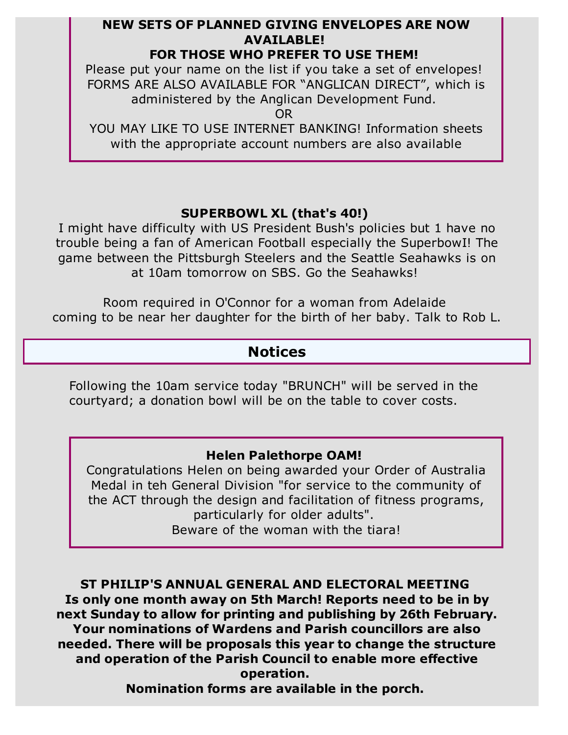# **NEW SETS OF PLANNED GIVING ENVELOPES ARE NOW AVAILABLE!**

#### **FOR THOSE WHO PREFER TO USE THEM!**

Please put your name on the list if you take a set of envelopes! FORMS ARE ALSO AVAILABLE FOR "ANGLICAN DIRECT", which is administered by the Anglican Development Fund.

OR

YOU MAY LIKE TO USE INTERNET BANKING! Information sheets with the appropriate account numbers are also available

# **SUPERBOWL XL (that's 40!)**

I might have difficulty with US President Bush's policies but 1 have no trouble being a fan of American Football especially the SuperbowI! The game between the Pittsburgh Steelers and the Seattle Seahawks is on at 10am tomorrow on SBS. Go the Seahawks!

Room required in O'Connor for a woman from Adelaide coming to be near her daughter for the birth of her baby. Talk to Rob L.

# **Notices**

Following the 10am service today "BRUNCH" will be served in the courtyard; a donation bowl will be on the table to cover costs.

### **Helen Palethorpe OAM!**

Congratulations Helen on being awarded your Order of Australia Medal in teh General Division "for service to the community of the ACT through the design and facilitation of fitness programs, particularly for older adults". Beware of the woman with the tiara!

**ST PHILIP'S ANNUAL GENERAL AND ELECTORAL MEETING Is only one month away on 5th March! Reports need to be in by next Sunday to allow for printing and publishing by 26th February. Your nominations of Wardens and Parish councillors are also needed. There will be proposals this year to change the structure and operation of the Parish Council to enable more effective operation.** 

**Nomination forms are available in the porch.**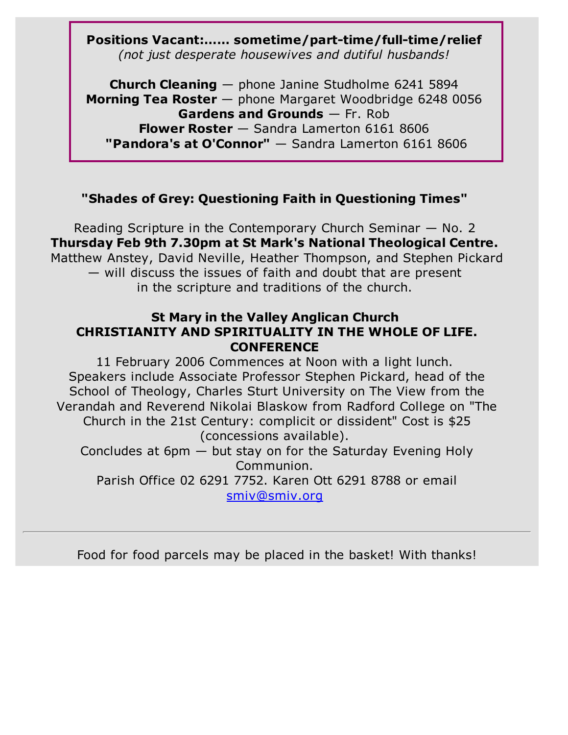# **Positions Vacant:…… sometime/part-time/full-time/relief** *(not just desperate housewives and dutiful husbands!*

**Church Cleaning** — phone Janine Studholme 6241 5894 **Morning Tea Roster** — phone Margaret Woodbridge 6248 0056 **Gardens and Grounds** — Fr. Rob **Flower Roster** — Sandra Lamerton 6161 8606 **"Pandora's at O'Connor"** — Sandra Lamerton 6161 8606

# **"Shades of Grey: Questioning Faith in Questioning Times"**

Reading Scripture in the Contemporary Church Seminar — No. 2 **Thursday Feb 9th 7.30pm at St Mark's National Theological Centre.** Matthew Anstey, David Neville, Heather Thompson, and Stephen Pickard — will discuss the issues of faith and doubt that are present in the scripture and traditions of the church.

### **St Mary in the Valley Anglican Church CHRISTIANITY AND SPIRITUALITY IN THE WHOLE OF LIFE. CONFERENCE**

11 February 2006 Commences at Noon with a light lunch. Speakers include Associate Professor Stephen Pickard, head of the School of Theology, Charles Sturt University on The View from the Verandah and Reverend Nikolai Blaskow from Radford College on "The Church in the 21st Century: complicit or dissident" Cost is \$25 (concessions available). Concludes at 6pm — but stay on for the Saturday Evening Holy Communion.

Parish Office 02 6291 7752. Karen Ott 6291 8788 or email smiv@smiv.org

Food for food parcels may be placed in the basket! With thanks!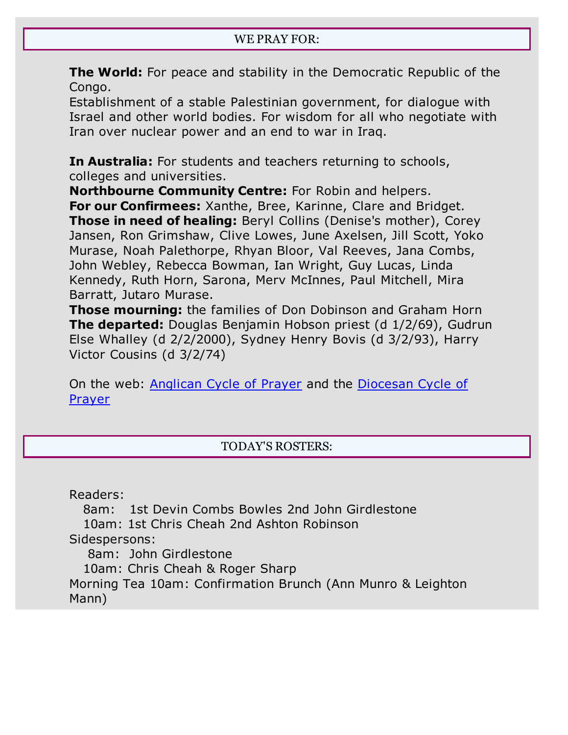**The World:** For peace and stability in the Democratic Republic of the Congo.

Establishment of a stable Palestinian government, for dialogue with Israel and other world bodies. For wisdom for all who negotiate with Iran over nuclear power and an end to war in Iraq.

**In Australia:** For students and teachers returning to schools, colleges and universities.

**Northbourne Community Centre:** For Robin and helpers. **For our Confirmees:** Xanthe, Bree, Karinne, Clare and Bridget. **Those in need of healing:** Beryl Collins (Denise's mother), Corey Jansen, Ron Grimshaw, Clive Lowes, June Axelsen, Jill Scott, Yoko Murase, Noah Palethorpe, Rhyan Bloor, Val Reeves, Jana Combs, John Webley, Rebecca Bowman, Ian Wright, Guy Lucas, Linda Kennedy, Ruth Horn, Sarona, Merv McInnes, Paul Mitchell, Mira Barratt, Jutaro Murase.

**Those mourning:** the families of Don Dobinson and Graham Horn **The departed:** Douglas Benjamin Hobson priest (d 1/2/69), Gudrun Else Whalley (d 2/2/2000), Sydney Henry Bovis (d 3/2/93), Harry Victor Cousins (d 3/2/74)

On the web: Anglican Cycle of Prayer and the Diocesan Cycle of **Prayer** 

# TODAY'S ROSTERS:

Readers:

 8am: 1st Devin Combs Bowles 2nd John Girdlestone 10am: 1st Chris Cheah 2nd Ashton Robinson Sidespersons: 8am: John Girdlestone 10am: Chris Cheah & Roger Sharp Morning Tea 10am: Confirmation Brunch (Ann Munro & Leighton Mann)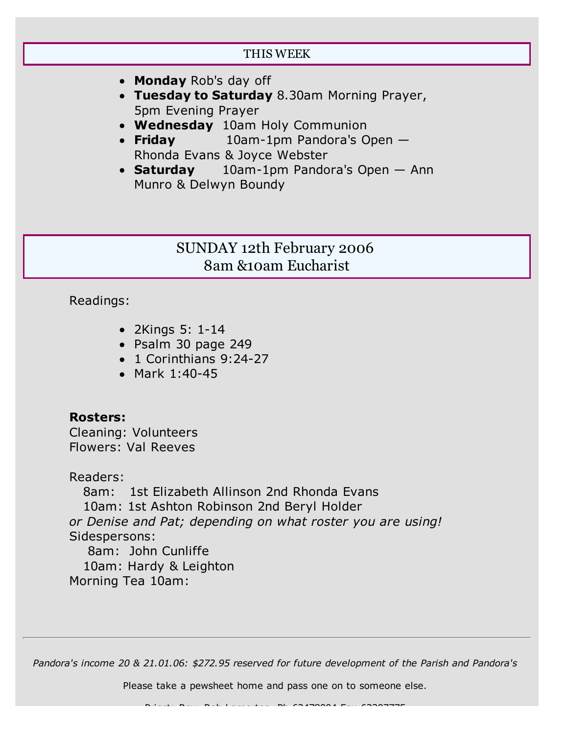#### THIS WEEK

- **Monday** Rob's day off
- **Tuesday to Saturday** 8.30am Morning Prayer, 5pm Evening Prayer
- **Wednesday** 10am Holy Communion
- **Friday** 10am-1pm Pandora's Open Rhonda Evans & Joyce Webster
- **Saturday** 10am-1pm Pandora's Open Ann Munro & Delwyn Boundy

# SUNDAY 12th February 2006 8am &10am Eucharist

Readings:

- 2Kings 5: 1-14
- Psalm 30 page 249
- 1 Corinthians 9:24-27
- $•$  Mark 1:40-45

#### **Rosters:**

Cleaning: Volunteers Flowers: Val Reeves

Readers:

 8am: 1st Elizabeth Allinson 2nd Rhonda Evans 10am: 1st Ashton Robinson 2nd Beryl Holder *or Denise and Pat; depending on what roster you are using!* Sidespersons: 8am: John Cunliffe 10am: Hardy & Leighton Morning Tea 10am:

*Pandora's income 20 & 21.01.06: \$272.95 reserved for future development of the Parish and Pandora's*

Please take a pewsheet home and pass one on to someone else.

 $P_1$